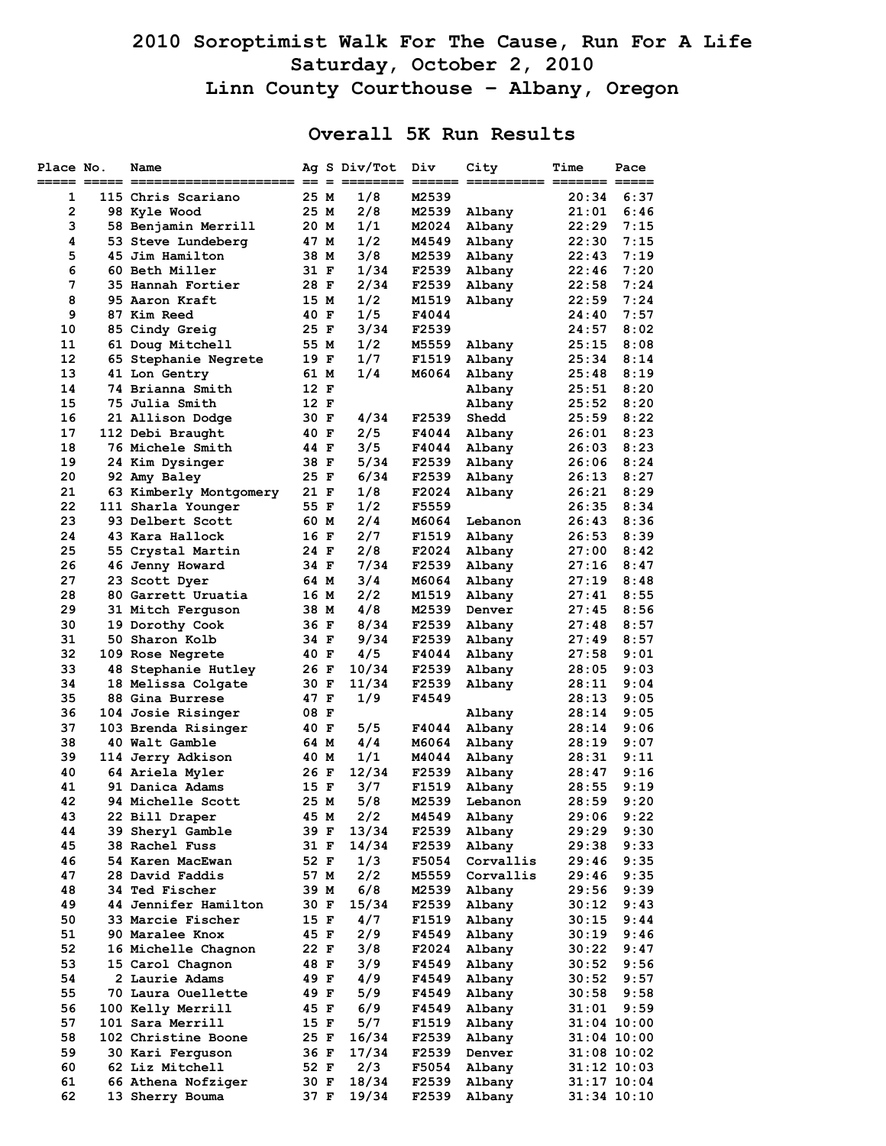## **2010 Soroptimist Walk For The Cause, Run For A Life Saturday, October 2, 2010 Linn County Courthouse – Albany, Oregon**

## **Overall 5K Run Results**

| Place No.    | Name                                 |              | Ag S Div/Tot | Div            | City             | Time           | Pace            |
|--------------|--------------------------------------|--------------|--------------|----------------|------------------|----------------|-----------------|
| 1            | 115 Chris Scariano                   | 25 M         | 1/8          | M2539          |                  | 20:34          | 6:37            |
| $\mathbf{2}$ | 98 Kyle Wood                         | 25 M         | 2/8          | M2539          | Albany           | 21:01          | 6:46            |
| з            | 58 Benjamin Merrill                  | 20 M         | 1/1          | M2024          | Albany           | 22:29          | 7:15            |
| 4            | 53 Steve Lundeberg                   | 47 M         | 1/2          | M4549          | Albany           | 22:30          | 7:15            |
| 5            | 45 Jim Hamilton                      | 38 M         | 3/8          | M2539          | Albany           | 22:43          | 7:19            |
| 6            | 60 Beth Miller                       | 31 F         | 1/34         | F2539          | Albany           | 22:46          | 7:20            |
| 7            | 35 Hannah Fortier                    | 28 F         | 2/34         | F2539          | Albany           | 22:58          | 7:24            |
| 8            | 95 Aaron Kraft                       | 15 M         | 1/2          | M1519          | Albany           | 22:59          | 7:24            |
| 9            | 87 Kim Reed                          | 40 F         | 1/5          | F4044          |                  | 24:40          | 7:57            |
| 10           | 85 Cindy Greig                       | 25 F         | 3/34         | F2539          |                  | 24:57          | 8:02            |
| 11           | 61 Doug Mitchell                     | 55 M         | 1/2          | M5559          | Albany           | 25:15          | 8:08            |
| 12           | 65 Stephanie Negrete                 | 19 F         | 1/7          | F1519          | Albany           | 25:34          | 8:14            |
| 13           | 41 Lon Gentry                        | 61 M         | 1/4          | M6064          | Albany           | 25:48          | 8:19            |
| 14<br>15     | 74 Brianna Smith                     | 12 F<br>12 F |              |                | Albany           | 25:51          | 8:20<br>8:20    |
| 16           | 75 Julia Smith                       | 30 F         | 4/34         | F2539          | Albany<br>Shedd  | 25:52<br>25:59 | 8:22            |
| 17           | 21 Allison Dodge<br>112 Debi Braught | 40 F         | 2/5          | F4044          | Albany           | 26:01          | 8:23            |
| 18           | 76 Michele Smith                     | 44 F         | 3/5          | F4044          | Albany           | 26:03          | 8:23            |
| 19           | 24 Kim Dysinger                      | 38 F         | 5/34         | F2539          | Albany           | 26:06          | 8:24            |
| 20           | 92 Amy Baley                         | 25 F         | 6/34         | F2539          | Albany           | 26:13          | 8:27            |
| 21           | 63 Kimberly Montgomery               | 21 F         | 1/8          | F2024          | Albany           | 26:21          | 8:29            |
| 22           | 111 Sharla Younger                   | 55 F         | 1/2          | F5559          |                  | 26:35          | 8:34            |
| 23           | 93 Delbert Scott                     | 60 M         | 2/4          | M6064          | Lebanon          | 26:43          | 8:36            |
| 24           | 43 Kara Hallock                      | 16 F         | 2/7          | F1519          | Albany           | 26:53          | 8:39            |
| 25           | 55 Crystal Martin                    | 24 F         | 2/8          | F2024          | Albany           | 27:00          | 8:42            |
| 26           | 46 Jenny Howard                      | 34 F         | 7/34         | F2539          | Albany           | 27:16          | 8:47            |
| 27           | 23 Scott Dyer                        | 64 M         | 3/4          | <b>M6064</b>   | Albany           | 27:19          | 8:48            |
| 28           | 80 Garrett Uruatia                   | 16 M         | 2/2          | M1519          | Albany           | 27:41          | 8:55            |
| 29           | 31 Mitch Ferguson                    | 38 M         | 4/8          | M2539          | Denver           | 27:45          | 8:56            |
| 30           | 19 Dorothy Cook                      | 36 F         | 8/34         | F2539          | Albany           | 27:48          | 8:57            |
| 31           | 50 Sharon Kolb                       | 34 F         | 9/34         | F2539          | Albany           | 27:49          | 8:57            |
| 32           | <b>109 Rose Negrete</b>              | 40 F         | 4/5          | F4044          | Albany           | 27:58          | 9:01            |
| 33           | 48 Stephanie Hutley                  | 26 F         | 10/34        | F2539          | Albany           | 28:05          | 9:03            |
| 34           | 18 Melissa Colgate                   | 30 F         | 11/34        | F2539          | Albany           | 28:11          | 9:04            |
| 35           | 88 Gina Burrese                      | 47 F         | 1/9          | F4549          |                  | 28:13          | 9:05            |
| 36           | <b>104 Josie Risinger</b>            | 08 F         |              |                | Albany           | 28:14          | 9:05            |
| 37           | 103 Brenda Risinger                  | 40 F         | 5/5          | F4044          | Albany           | 28:14          | 9:06            |
| 38           | 40 Walt Gamble                       | 64 M         | 4/4          | M6064          | Albany           | 28:19          | 9:07            |
| 39<br>40     | 114 Jerry Adkison                    | 40 M         | 1/1<br>12/34 | M4044          | Albany           | 28:31          | 9:11<br>9:16    |
| 41           | 64 Ariela Myler<br>91 Danica Adams   | 26 F<br>15 F | 3/7          | F2539<br>F1519 | Albany<br>Albany | 28:47<br>28:55 | 9:19            |
| 42           | <b>94 Michelle Scott</b>             | 25 M         | 5/8          | M2539          | Lebanon          | 28:59          | 9:20            |
| 43           | 22 Bill Draper                       | 45 M         | 2/2          | M4549          | Albany           | 29:06          | 9:22            |
| 44           | 39 Sheryl Gamble                     | 39 F         | 13/34        | F2539          | Albany           | 29:29          | 9:30            |
| 45           | 38 Rachel Fuss                       | 31 F         | 14/34        | F2539          | Albany           | 29:38          | 9:33            |
| 46           | 54 Karen MacEwan                     | 52 F         | 1/3          | F5054          | Corvallis        | 29:46          | 9:35            |
| 47           | 28 David Faddis                      | 57 M         | 2/2          | M5559          | Corvallis        | 29:46          | 9:35            |
| 48           | <b>34 Ted Fischer</b>                | 39 M         | 6/8          | M2539          | Albany           | 29:56          | 9:39            |
| 49           | 44 Jennifer Hamilton                 | 30 F         | 15/34        | F2539          | Albany           | 30:12          | 9:43            |
| 50           | 33 Marcie Fischer                    | 15 F         | 4/7          | F1519          | Albany           | 30:15          | 9:44            |
| 51           | 90 Maralee Knox                      | 45 F         | 2/9          | F4549          | Albany           | 30:19          | 9:46            |
| 52           | 16 Michelle Chagnon                  | 22 F         | 3/8          | F2024          | Albany           | 30:22          | 9:47            |
| 53           | 15 Carol Chagnon                     | 48 F         | 3/9          | F4549          | Albany           | 30:52          | 9:56            |
| 54           | 2 Laurie Adams                       | 49 F         | 4/9          | F4549          | Albany           | 30:52          | 9:57            |
| 55           | 70 Laura Ouellette                   | 49 F         | 5/9          | F4549          | Albany           | 30:58          | 9:58            |
| 56           | 100 Kelly Merrill                    | 45 F         | 6/9          | F4549          | Albany           | 31:01          | 9:59            |
| 57           | 101 Sara Merrill                     | 15 F         | 5/7          | F1519          | Albany           |                | 31:04 10:00     |
| 58           | 102 Christine Boone                  | 25 F         | 16/34        | F2539          | Albany           |                | 31:04 10:00     |
| 59           | 30 Kari Ferguson                     | 36 F         | 17/34        | F2539          | Denver           |                | $31:08$ 10:02   |
| 60           | 62 Liz Mitchell                      | 52 F         | 2/3          | F5054          | Albany           |                | $31:12$ $10:03$ |
| 61           | 66 Athena Nofziger                   | 30 F         | 18/34        | F2539          | Albany           |                | 31:17 10:04     |
| 62           | 13 Sherry Bouma                      | 37 F         | 19/34        | F2539          | Albany           |                | 31:34 10:10     |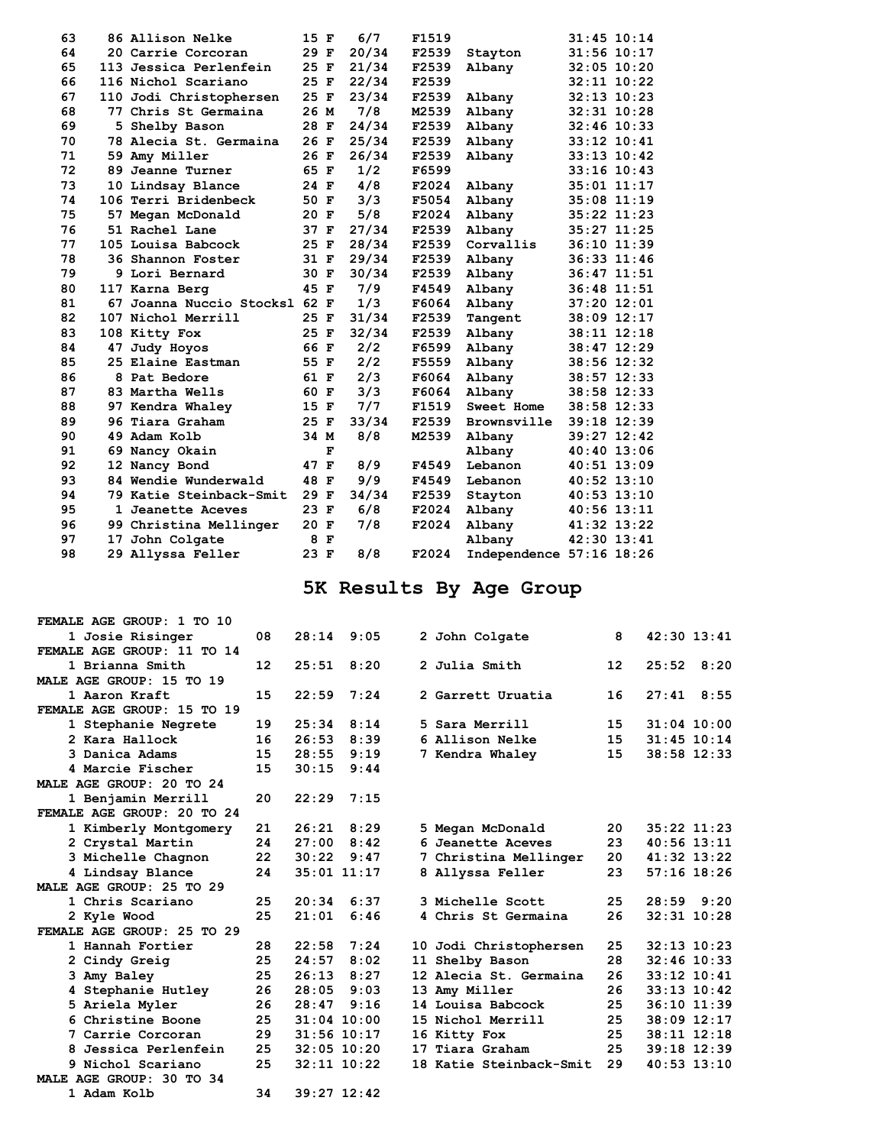| 63 |    | 86 Allison Nelke              | 15 F |             | 6/7   | F1519 |                          |                 | $31:45$ $10:14$ |
|----|----|-------------------------------|------|-------------|-------|-------|--------------------------|-----------------|-----------------|
| 64 |    | 20 Carrie Corcoran            | 29 F |             | 20/34 | F2539 | Stayton                  |                 | 31:56 10:17     |
| 65 |    | 113 Jessica Perlenfein        | 25 F |             | 21/34 | F2539 | Albany                   |                 | $32:05$ 10:20   |
| 66 |    | 116 Nichol Scariano           | 25 F |             | 22/34 | F2539 |                          |                 | $32:11$ $10:22$ |
| 67 |    | 110 Jodi Christophersen       | 25 F |             | 23/34 | F2539 | Albany                   |                 | $32:13$ $10:23$ |
| 68 |    | 77 Chris St Germaina          | 26 M |             | 7/8   | M2539 | Albany                   |                 | $32:31$ $10:28$ |
| 69 |    | 5 Shelby Bason                | 28 F |             | 24/34 | F2539 | Albany                   |                 | $32:46$ 10:33   |
| 70 |    | 78 Alecia St. Germaina        | 26 F |             | 25/34 | F2539 | Albany                   |                 | $33:12$ $10:41$ |
| 71 |    | 59 Amy Miller                 | 26 F |             | 26/34 | F2539 | Albany                   |                 | $33:13$ $10:42$ |
| 72 |    | 89 Jeanne Turner              | 65 F |             | 1/2   | F6599 |                          |                 | $33:16$ $10:43$ |
| 73 |    | 10 Lindsay Blance             | 24 F |             | 4/8   | F2024 | Albany                   |                 | $35:01$ $11:17$ |
| 74 |    | 106 Terri Bridenbeck          | 50 F |             | 3/3   | F5054 | Albany                   |                 | $35:08$ 11:19   |
| 75 |    | 57 Megan McDonald             | 20 F |             | 5/8   | F2024 | Albany                   |                 | 35:22 11:23     |
| 76 |    | 51 Rachel Lane                | 37 F |             | 27/34 | F2539 | Albany                   |                 | 35:27 11:25     |
| 77 |    | 105 Louisa Babcock            | 25 F |             | 28/34 | F2539 | Corvallis                |                 | 36:10 11:39     |
| 78 |    | 36 Shannon Foster             | 31 F |             | 29/34 | F2539 | Albany                   |                 | 36:33 11:46     |
| 79 |    | 9 Lori Bernard                | 30 F |             | 30/34 | F2539 | Albany                   |                 | $36:47$ $11:51$ |
| 80 |    | 117 Karna Berg                | 45 F |             | 7/9   | F4549 | Albany                   |                 | $36:48$ 11:51   |
| 81 |    | 67 Joanna Nuccio Stocksl 62 F |      |             | 1/3   | F6064 | Albany                   |                 | 37:20 12:01     |
| 82 |    | 107 Nichol Merrill            | 25 F |             | 31/34 | F2539 | Tangent                  |                 | 38:09 12:17     |
| 83 |    | 108 Kitty Fox                 | 25 F |             | 32/34 | F2539 | Albany                   |                 | 38:11 12:18     |
| 84 | 47 | Judy Hoyos                    | 66 F |             | 2/2   | F6599 | Albany                   |                 | 38:47 12:29     |
| 85 |    | 25 Elaine Eastman             | 55 F |             | 2/2   | F5559 | Albany                   |                 | 38:56 12:32     |
| 86 |    | 8 Pat Bedore                  | 61 F |             | 2/3   | F6064 | Albany                   |                 | 38:57 12:33     |
| 87 |    | 83 Martha Wells               | 60 F |             | 3/3   | F6064 | Albany                   |                 | 38:58 12:33     |
| 88 |    | 97 Kendra Whaley              | 15 F |             | 7/7   | F1519 | Sweet Home               |                 | 38:58 12:33     |
| 89 |    | 96 Tiara Graham               | 25 F |             | 33/34 | F2539 | Brownsville              |                 | 39:18 12:39     |
| 90 |    | 49 Adam Kolb                  | 34 M |             | 8/8   | M2539 | Albany                   |                 | 39:27 12:42     |
| 91 |    | 69 Nancy Okain                |      | $\mathbf F$ |       |       | Albany                   |                 | 40:40 13:06     |
| 92 |    | 12 Nancy Bond                 | 47 F |             | 8/9   | F4549 | Lebanon                  |                 | $40:51$ 13:09   |
| 93 |    | 84 Wendie Wunderwald          | 48 F |             | 9/9   | F4549 | Lebanon                  |                 | $40:52$ 13:10   |
| 94 |    | 79 Katie Steinback-Smit       | 29 F |             | 34/34 | F2539 | Stayton                  | $40:53$ $13:10$ |                 |
| 95 |    | 1 Jeanette Aceves             | 23 F |             | 6/8   | F2024 | Albany                   | $40:56$ $13:11$ |                 |
| 96 |    | 99 Christina Mellinger        | 20 F |             | 7/8   | F2024 | Albany                   | 41:32 13:22     |                 |
| 97 |    | 17 John Colgate               | 8    | F           |       |       | Albany                   |                 | 42:30 13:41     |
| 98 |    | 29 Allyssa Feller             | 23 F |             | 8/8   | F2024 | Independence 57:16 18:26 |                 |                 |
|    |    |                               |      |             |       |       |                          |                 |                 |

## **5K Results By Age Group**

| FEMALE AGE GROUP: 1 TO 10  |    |       |                 |   |                         |                   |                 |
|----------------------------|----|-------|-----------------|---|-------------------------|-------------------|-----------------|
| 1 Josie Risinger           | 08 |       | $28:14$ 9:05    |   | 2 John Colgate          | 8                 | $42:30$ $13:41$ |
| FEMALE AGE GROUP: 11 TO 14 |    |       |                 |   |                         |                   |                 |
| 1 Brianna Smith            | 12 | 25:51 | 8:20            |   | 2 Julia Smith           | $12 \overline{ }$ | 25:52<br>8:20   |
| MALE AGE GROUP: 15 TO 19   |    |       |                 |   |                         |                   |                 |
| 1 Aaron Kraft              | 15 | 22:59 | 7:24            |   | 2 Garrett Uruatia       | 16                | 27:41<br>8:55   |
| FEMALE AGE GROUP: 15 TO 19 |    |       |                 |   |                         |                   |                 |
| 1 Stephanie Negrete        | 19 | 25:34 | 8:14            |   | 5 Sara Merrill          | 15                | $31:04$ 10:00   |
| 2 Kara Hallock             | 16 | 26:53 | 8:39            |   | 6 Allison Nelke         | 15                | $31:45$ $10:14$ |
| 3 Danica Adams             | 15 | 28:55 | 9:19            |   | 7 Kendra Whaley         | 15                | 38:58 12:33     |
| 4 Marcie Fischer           | 15 | 30:15 | 9:44            |   |                         |                   |                 |
| MALE AGE GROUP: 20 TO 24   |    |       |                 |   |                         |                   |                 |
| 1 Benjamin Merrill         | 20 | 22:29 | 7:15            |   |                         |                   |                 |
| FEMALE AGE GROUP: 20 TO 24 |    |       |                 |   |                         |                   |                 |
| 1 Kimberly Montgomery      | 21 | 26:21 | 8:29            |   | 5 Megan McDonald        | 20                | $35:22$ 11:23   |
| 2 Crystal Martin           | 24 | 27:00 | 8:42            |   | 6 Jeanette Aceves       | 23                | $40:56$ 13:11   |
| 3 Michelle Chagnon         | 22 | 30:22 | 9:47            | 7 | Christina Mellinger     | 20                | 41:32 13:22     |
| 4 Lindsay Blance           | 24 |       | $35:01$ 11:17   |   | 8 Allyssa Feller        | 23                | $57:16$ 18:26   |
| MALE AGE GROUP: 25 TO 29   |    |       |                 |   |                         |                   |                 |
| 1 Chris Scariano           | 25 | 20:34 | 6:37            |   | 3 Michelle Scott        | 25                | 28:59<br>9:20   |
| 2 Kyle Wood                | 25 | 21:01 | 6:46            |   | 4 Chris St Germaina     | 26                | $32:31$ $10:28$ |
| FEMALE AGE GROUP: 25 TO 29 |    |       |                 |   |                         |                   |                 |
| 1 Hannah Fortier           | 28 | 22:58 | 7:24            |   | 10 Jodi Christophersen  | 25                | $32:13$ 10:23   |
| 2 Cindy Greig              | 25 | 24:57 | 8:02            |   | 11 Shelby Bason         | 28                | $32:46$ 10:33   |
| 3 Amy Baley                | 25 | 26:13 | 8:27            |   | 12 Alecia St. Germaina  | 26                | $33:12$ $10:41$ |
| 4 Stephanie Hutley         | 26 | 28:05 | 9:03            |   | 13 Amy Miller           | 26                | $33:13$ $10:42$ |
| 5 Ariela Myler             | 26 | 28:47 | 9:16            |   | 14 Louisa Babcock       | 25                | $36:10$ $11:39$ |
| 6 Christine Boone          | 25 |       | $31:04$ 10:00   |   | 15 Nichol Merrill       | 25                | 38:09 12:17     |
| 7 Carrie Corcoran          | 29 |       | $31:56$ $10:17$ |   | 16 Kitty Fox            | 25                | $38:11$ $12:18$ |
| 8 Jessica Perlenfein       | 25 |       | $32:05$ 10:20   |   | 17 Tiara Graham         | 25                | $39:18$ 12:39   |
| 9 Nichol Scariano          | 25 |       | $32:11$ $10:22$ |   | 18 Katie Steinback-Smit | 29                | $40:53$ 13:10   |
| MALE AGE GROUP: 30 TO 34   |    |       |                 |   |                         |                   |                 |
| 1 Adam Kolb                | 34 |       | $39:27$ 12:42   |   |                         |                   |                 |